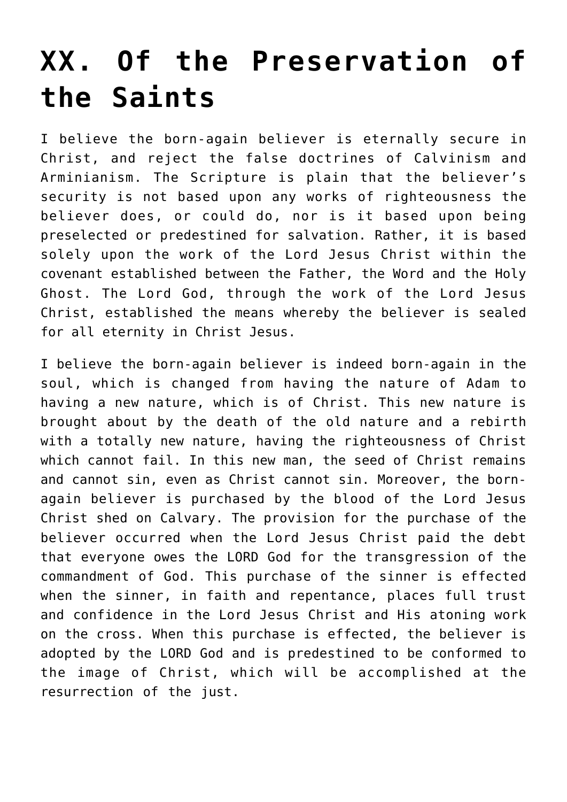## **[XX. Of the Preservation of](https://reproachofmen.org/statement-of-faith/xx-of-the-preservation-of-the-saints/) [the Saints](https://reproachofmen.org/statement-of-faith/xx-of-the-preservation-of-the-saints/)**

I believe the born-again believer is eternally secure in Christ, and reject the false doctrines of Calvinism and Arminianism. The Scripture is plain that the believer's security is not based upon any works of righteousness the believer does, or could do, nor is it based upon being preselected or predestined for salvation. Rather, it is based solely upon the work of the Lord Jesus Christ within the covenant established between the Father, the Word and the Holy Ghost. The Lord God, through the work of the Lord Jesus Christ, established the means whereby the believer is sealed for all eternity in Christ Jesus.

I believe the born-again believer is indeed born-again in the soul, which is changed from having the nature of Adam to having a new nature, which is of Christ. This new nature is brought about by the death of the old nature and a rebirth with a totally new nature, having the righteousness of Christ which cannot fail. In this new man, the seed of Christ remains and cannot sin, even as Christ cannot sin. Moreover, the bornagain believer is purchased by the blood of the Lord Jesus Christ shed on Calvary. The provision for the purchase of the believer occurred when the Lord Jesus Christ paid the debt that everyone owes the LORD God for the transgression of the commandment of God. This purchase of the sinner is effected when the sinner, in faith and repentance, places full trust and confidence in the Lord Jesus Christ and His atoning work on the cross. When this purchase is effected, the believer is adopted by the LORD God and is predestined to be conformed to the image of Christ, which will be accomplished at the resurrection of the just.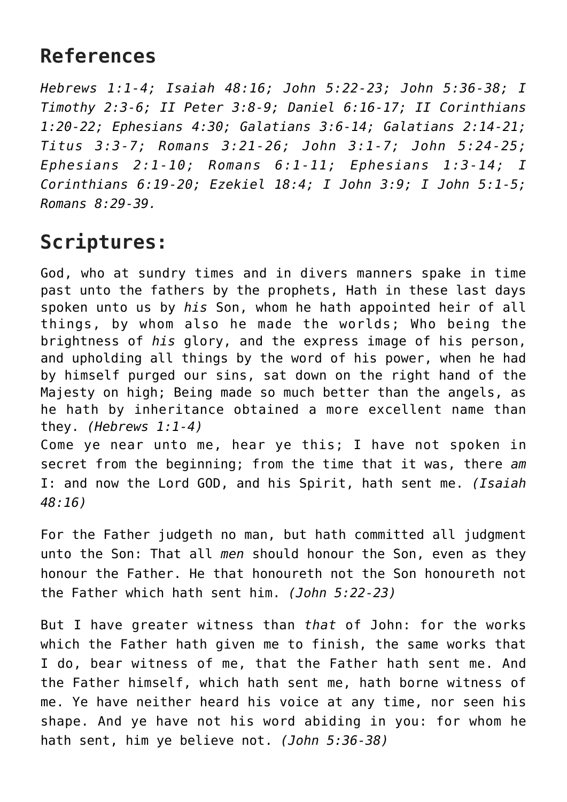## **References**

*Hebrews 1:1-4; Isaiah 48:16; John 5:22-23; John 5:36-38; I Timothy 2:3-6; II Peter 3:8-9; Daniel 6:16-17; II Corinthians 1:20-22; Ephesians 4:30; Galatians 3:6-14; Galatians 2:14-21; Titus 3:3-7; Romans 3:21-26; John 3:1-7; John 5:24-25; Ephesians 2:1-10; Romans 6:1-11; Ephesians 1:3-14; I Corinthians 6:19-20; Ezekiel 18:4; I John 3:9; I John 5:1-5; Romans 8:29-39.*

## **Scriptures:**

God, who at sundry times and in divers manners spake in time past unto the fathers by the prophets, Hath in these last days spoken unto us by *his* Son, whom he hath appointed heir of all things, by whom also he made the worlds; Who being the brightness of *his* glory, and the express image of his person, and upholding all things by the word of his power, when he had by himself purged our sins, sat down on the right hand of the Majesty on high; Being made so much better than the angels, as he hath by inheritance obtained a more excellent name than they. *(Hebrews 1:1-4)*

Come ye near unto me, hear ye this; I have not spoken in secret from the beginning; from the time that it was, there *am* I: and now the Lord GOD, and his Spirit, hath sent me. *(Isaiah 48:16)*

For the Father judgeth no man, but hath committed all judgment unto the Son: That all *men* should honour the Son, even as they honour the Father. He that honoureth not the Son honoureth not the Father which hath sent him. *(John 5:22-23)*

But I have greater witness than *that* of John: for the works which the Father hath given me to finish, the same works that I do, bear witness of me, that the Father hath sent me. And the Father himself, which hath sent me, hath borne witness of me. Ye have neither heard his voice at any time, nor seen his shape. And ye have not his word abiding in you: for whom he hath sent, him ye believe not. *(John 5:36-38)*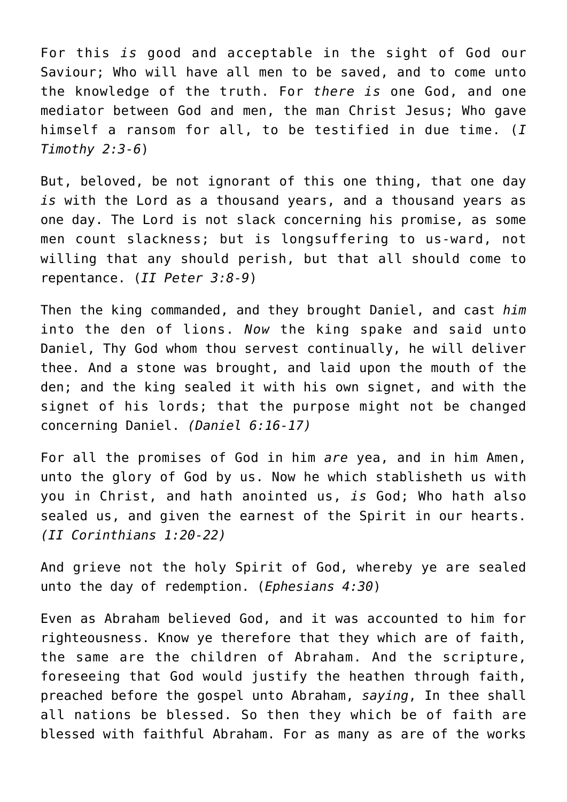For this *is* good and acceptable in the sight of God our Saviour; Who will have all men to be saved, and to come unto the knowledge of the truth. For *there is* one God, and one mediator between God and men, the man Christ Jesus; Who gave himself a ransom for all, to be testified in due time. (*I Timothy 2:3-6*)

But, beloved, be not ignorant of this one thing, that one day *is* with the Lord as a thousand years, and a thousand years as one day. The Lord is not slack concerning his promise, as some men count slackness; but is longsuffering to us-ward, not willing that any should perish, but that all should come to repentance. (*II Peter 3:8-9*)

Then the king commanded, and they brought Daniel, and cast *him* into the den of lions. *Now* the king spake and said unto Daniel, Thy God whom thou servest continually, he will deliver thee. And a stone was brought, and laid upon the mouth of the den; and the king sealed it with his own signet, and with the signet of his lords; that the purpose might not be changed concerning Daniel. *(Daniel 6:16-17)*

For all the promises of God in him *are* yea, and in him Amen, unto the glory of God by us. Now he which stablisheth us with you in Christ, and hath anointed us, *is* God; Who hath also sealed us, and given the earnest of the Spirit in our hearts. *(II Corinthians 1:20-22)*

And grieve not the holy Spirit of God, whereby ye are sealed unto the day of redemption. (*Ephesians 4:30*)

Even as Abraham believed God, and it was accounted to him for righteousness. Know ye therefore that they which are of faith, the same are the children of Abraham. And the scripture, foreseeing that God would justify the heathen through faith, preached before the gospel unto Abraham, *saying*, In thee shall all nations be blessed. So then they which be of faith are blessed with faithful Abraham. For as many as are of the works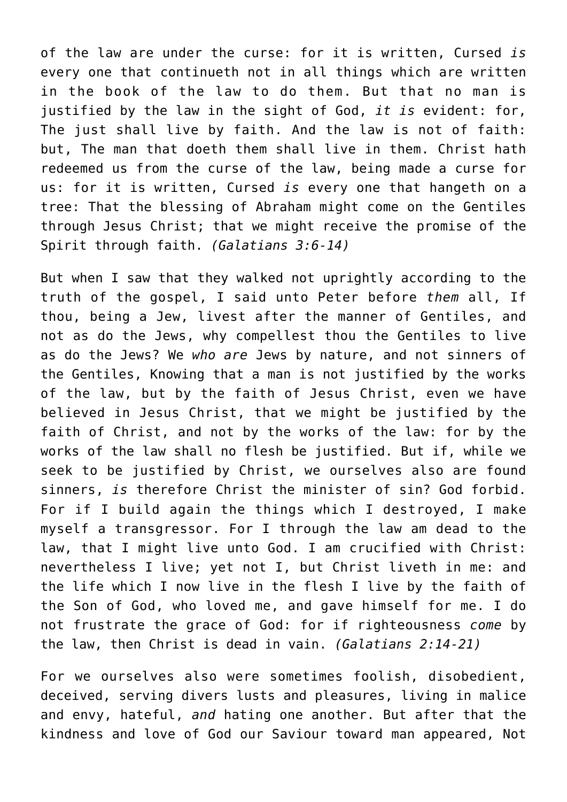of the law are under the curse: for it is written, Cursed *is* every one that continueth not in all things which are written in the book of the law to do them. But that no man is justified by the law in the sight of God, *it is* evident: for, The just shall live by faith. And the law is not of faith: but, The man that doeth them shall live in them. Christ hath redeemed us from the curse of the law, being made a curse for us: for it is written, Cursed *is* every one that hangeth on a tree: That the blessing of Abraham might come on the Gentiles through Jesus Christ; that we might receive the promise of the Spirit through faith. *(Galatians 3:6-14)*

But when I saw that they walked not uprightly according to the truth of the gospel, I said unto Peter before *them* all, If thou, being a Jew, livest after the manner of Gentiles, and not as do the Jews, why compellest thou the Gentiles to live as do the Jews? We *who are* Jews by nature, and not sinners of the Gentiles, Knowing that a man is not justified by the works of the law, but by the faith of Jesus Christ, even we have believed in Jesus Christ, that we might be justified by the faith of Christ, and not by the works of the law: for by the works of the law shall no flesh be justified. But if, while we seek to be justified by Christ, we ourselves also are found sinners, *is* therefore Christ the minister of sin? God forbid. For if I build again the things which I destroyed, I make myself a transgressor. For I through the law am dead to the law, that I might live unto God. I am crucified with Christ: nevertheless I live; yet not I, but Christ liveth in me: and the life which I now live in the flesh I live by the faith of the Son of God, who loved me, and gave himself for me. I do not frustrate the grace of God: for if righteousness *come* by the law, then Christ is dead in vain. *(Galatians 2:14-21)*

For we ourselves also were sometimes foolish, disobedient, deceived, serving divers lusts and pleasures, living in malice and envy, hateful, *and* hating one another. But after that the kindness and love of God our Saviour toward man appeared, Not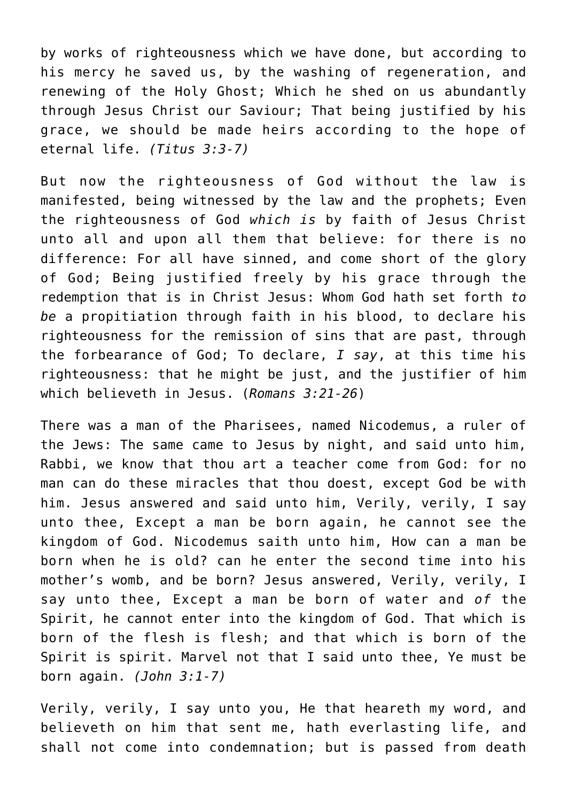by works of righteousness which we have done, but according to his mercy he saved us, by the washing of regeneration, and renewing of the Holy Ghost; Which he shed on us abundantly through Jesus Christ our Saviour; That being justified by his grace, we should be made heirs according to the hope of eternal life. *(Titus 3:3-7)*

But now the righteousness of God without the law is manifested, being witnessed by the law and the prophets; Even the righteousness of God *which is* by faith of Jesus Christ unto all and upon all them that believe: for there is no difference: For all have sinned, and come short of the glory of God; Being justified freely by his grace through the redemption that is in Christ Jesus: Whom God hath set forth *to be* a propitiation through faith in his blood, to declare his righteousness for the remission of sins that are past, through the forbearance of God; To declare, *I say*, at this time his righteousness: that he might be just, and the justifier of him which believeth in Jesus. (*Romans 3:21-26*)

There was a man of the Pharisees, named Nicodemus, a ruler of the Jews: The same came to Jesus by night, and said unto him, Rabbi, we know that thou art a teacher come from God: for no man can do these miracles that thou doest, except God be with him. Jesus answered and said unto him, Verily, verily, I say unto thee, Except a man be born again, he cannot see the kingdom of God. Nicodemus saith unto him, How can a man be born when he is old? can he enter the second time into his mother's womb, and be born? Jesus answered, Verily, verily, I say unto thee, Except a man be born of water and *of* the Spirit, he cannot enter into the kingdom of God. That which is born of the flesh is flesh; and that which is born of the Spirit is spirit. Marvel not that I said unto thee, Ye must be born again. *(John 3:1-7)*

Verily, verily, I say unto you, He that heareth my word, and believeth on him that sent me, hath everlasting life, and shall not come into condemnation; but is passed from death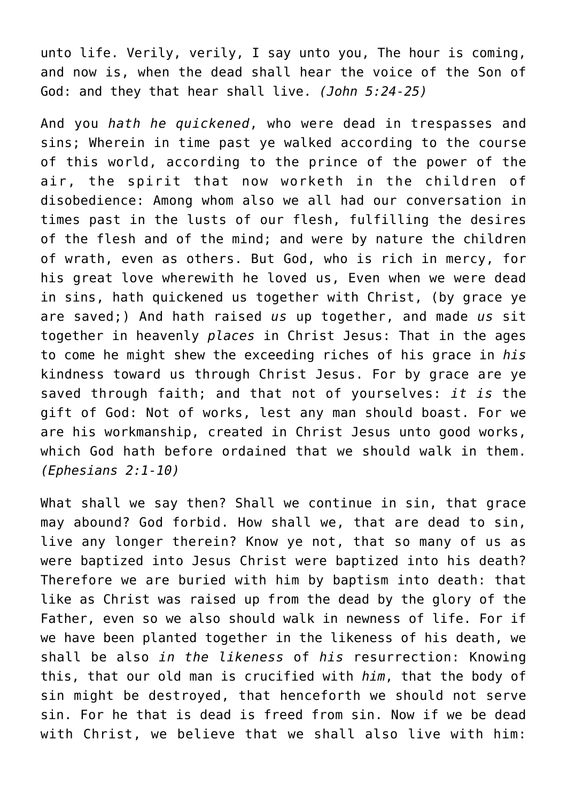unto life. Verily, verily, I say unto you, The hour is coming, and now is, when the dead shall hear the voice of the Son of God: and they that hear shall live. *(John 5:24-25)*

And you *hath he quickened*, who were dead in trespasses and sins; Wherein in time past ye walked according to the course of this world, according to the prince of the power of the air, the spirit that now worketh in the children of disobedience: Among whom also we all had our conversation in times past in the lusts of our flesh, fulfilling the desires of the flesh and of the mind; and were by nature the children of wrath, even as others. But God, who is rich in mercy, for his great love wherewith he loved us, Even when we were dead in sins, hath quickened us together with Christ, (by grace ye are saved;) And hath raised *us* up together, and made *us* sit together in heavenly *places* in Christ Jesus: That in the ages to come he might shew the exceeding riches of his grace in *his* kindness toward us through Christ Jesus. For by grace are ye saved through faith; and that not of yourselves: *it is* the gift of God: Not of works, lest any man should boast. For we are his workmanship, created in Christ Jesus unto good works, which God hath before ordained that we should walk in them. *(Ephesians 2:1-10)*

What shall we say then? Shall we continue in sin, that grace may abound? God forbid. How shall we, that are dead to sin, live any longer therein? Know ye not, that so many of us as were baptized into Jesus Christ were baptized into his death? Therefore we are buried with him by baptism into death: that like as Christ was raised up from the dead by the glory of the Father, even so we also should walk in newness of life. For if we have been planted together in the likeness of his death, we shall be also *in the likeness* of *his* resurrection: Knowing this, that our old man is crucified with *him*, that the body of sin might be destroyed, that henceforth we should not serve sin. For he that is dead is freed from sin. Now if we be dead with Christ, we believe that we shall also live with him: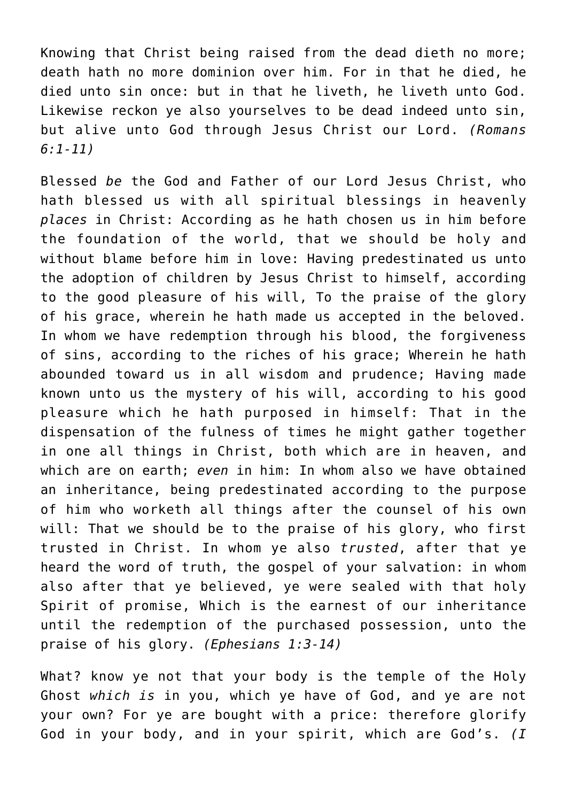Knowing that Christ being raised from the dead dieth no more; death hath no more dominion over him. For in that he died, he died unto sin once: but in that he liveth, he liveth unto God. Likewise reckon ye also yourselves to be dead indeed unto sin, but alive unto God through Jesus Christ our Lord. *(Romans 6:1-11)*

Blessed *be* the God and Father of our Lord Jesus Christ, who hath blessed us with all spiritual blessings in heavenly *places* in Christ: According as he hath chosen us in him before the foundation of the world, that we should be holy and without blame before him in love: Having predestinated us unto the adoption of children by Jesus Christ to himself, according to the good pleasure of his will, To the praise of the glory of his grace, wherein he hath made us accepted in the beloved. In whom we have redemption through his blood, the forgiveness of sins, according to the riches of his grace; Wherein he hath abounded toward us in all wisdom and prudence; Having made known unto us the mystery of his will, according to his good pleasure which he hath purposed in himself: That in the dispensation of the fulness of times he might gather together in one all things in Christ, both which are in heaven, and which are on earth; *even* in him: In whom also we have obtained an inheritance, being predestinated according to the purpose of him who worketh all things after the counsel of his own will: That we should be to the praise of his glory, who first trusted in Christ. In whom ye also *trusted*, after that ye heard the word of truth, the gospel of your salvation: in whom also after that ye believed, ye were sealed with that holy Spirit of promise, Which is the earnest of our inheritance until the redemption of the purchased possession, unto the praise of his glory. *(Ephesians 1:3-14)*

What? know ye not that your body is the temple of the Holy Ghost *which is* in you, which ye have of God, and ye are not your own? For ye are bought with a price: therefore glorify God in your body, and in your spirit, which are God's. *(I*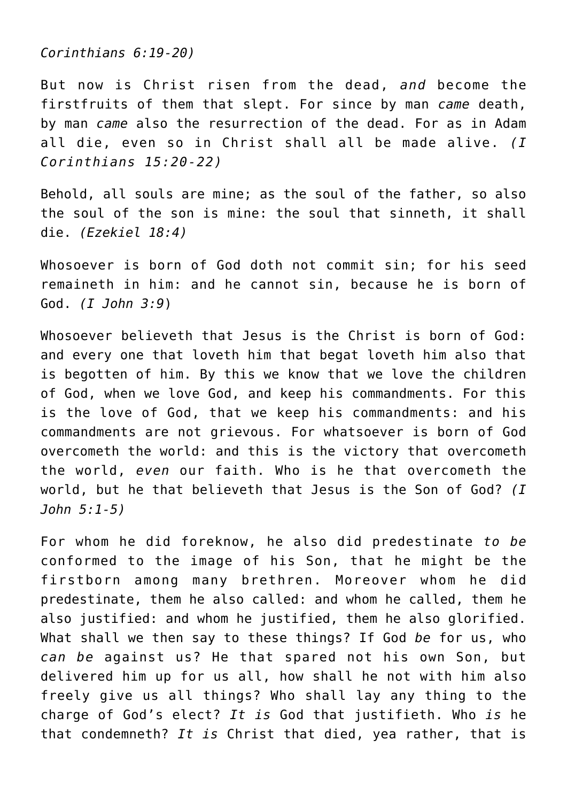*Corinthians 6:19-20)*

But now is Christ risen from the dead, *and* become the firstfruits of them that slept. For since by man *came* death, by man *came* also the resurrection of the dead. For as in Adam all die, even so in Christ shall all be made alive. *(I Corinthians 15:20-22)*

Behold, all souls are mine; as the soul of the father, so also the soul of the son is mine: the soul that sinneth, it shall die. *(Ezekiel 18:4)*

Whosoever is born of God doth not commit sin; for his seed remaineth in him: and he cannot sin, because he is born of God. *(I John 3:9*)

Whosoever believeth that Jesus is the Christ is born of God: and every one that loveth him that begat loveth him also that is begotten of him. By this we know that we love the children of God, when we love God, and keep his commandments. For this is the love of God, that we keep his commandments: and his commandments are not grievous. For whatsoever is born of God overcometh the world: and this is the victory that overcometh the world, *even* our faith. Who is he that overcometh the world, but he that believeth that Jesus is the Son of God? *(I John 5:1-5)*

For whom he did foreknow, he also did predestinate *to be* conformed to the image of his Son, that he might be the firstborn among many brethren. Moreover whom he did predestinate, them he also called: and whom he called, them he also justified: and whom he justified, them he also glorified. What shall we then say to these things? If God *be* for us, who *can be* against us? He that spared not his own Son, but delivered him up for us all, how shall he not with him also freely give us all things? Who shall lay any thing to the charge of God's elect? *It is* God that justifieth. Who *is* he that condemneth? *It is* Christ that died, yea rather, that is